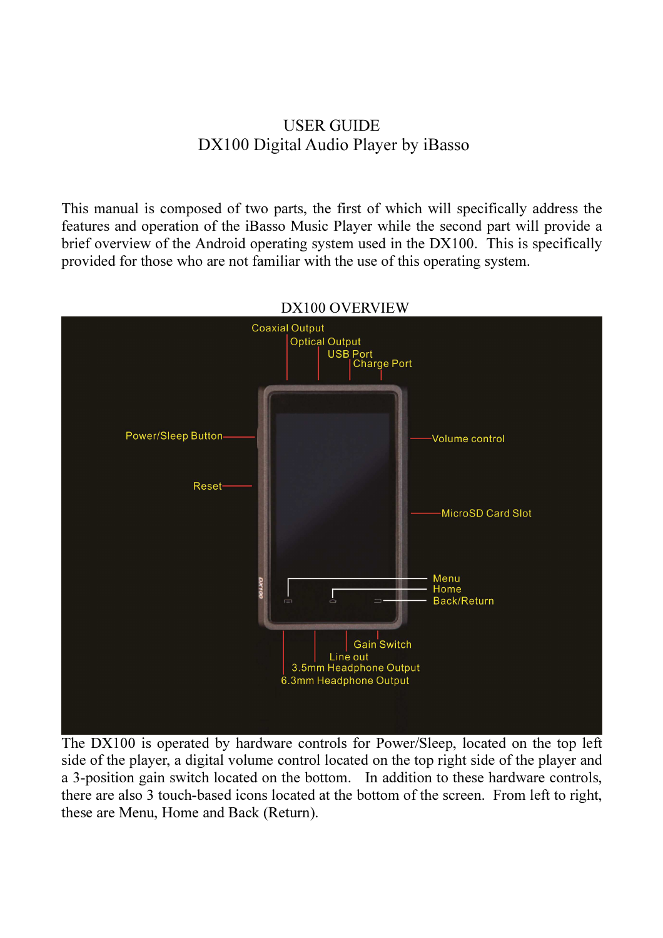# USER GUIDE DX100 Digital Audio Player by iBasso

This manual is composed of two parts, the first of which will specifically address the features and operation of the iBasso Music Player while the second part will provide a brief overview of the Android operating system used in the DX100. This is specifically provided for those who are not familiar with the use of this operating system.



#### DX100 OVERVIEW

The DX100 is operated by hardware controls for Power/Sleep, located on the top left side of the player, a digital volume control located on the top right side of the player and a 3-position gain switch located on the bottom. In addition to these hardware controls, there are also 3 touch-based icons located at the bottom of the screen. From left to right, these are Menu, Home and Back (Return).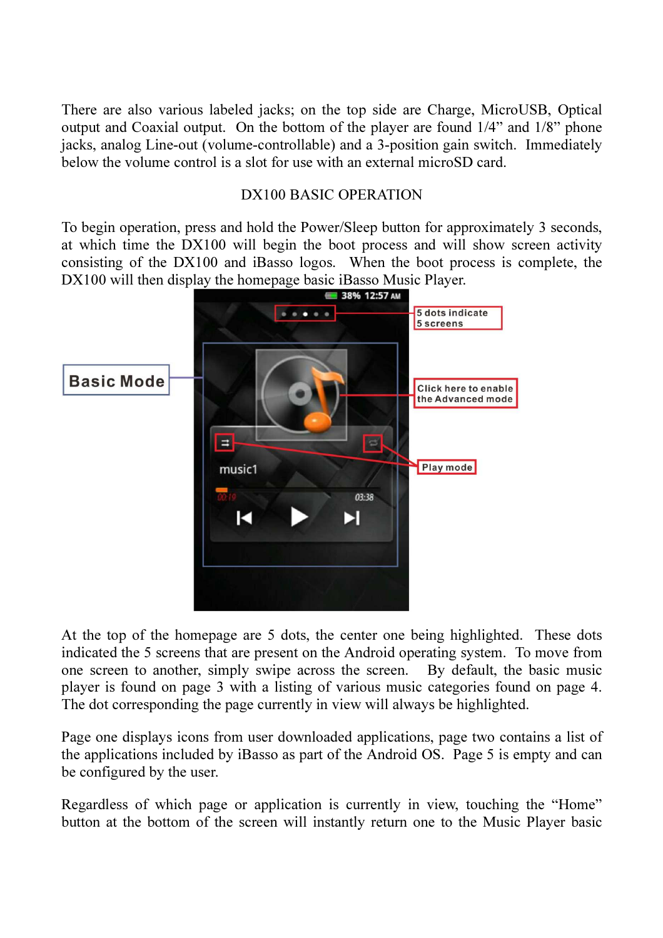There are also various labeled jacks; on the top side are Charge, MicroUSB, Optical output and Coaxial output. On the bottom of the player are found 1/4" and 1/8" phone jacks, analog Line-out (volume-controllable) and a 3-position gain switch. Immediately below the volume control is a slot for use with an external microSD card.

#### DX100 BASIC OPERATION

To begin operation, press and hold the Power/Sleep button for approximately 3 seconds, at which time the DX100 will begin the boot process and will show screen activity consisting of the DX100 and iBasso logos. When the boot process is complete, the DX100 will then display the homepage basic iBasso Music Player.



At the top of the homepage are 5 dots, the center one being highlighted. These dots indicated the 5 screens that are present on the Android operating system. To move from one screen to another, simply swipe across the screen. By default, the basic music player is found on page 3 with a listing of various music categories found on page 4. The dot corresponding the page currently in view will always be highlighted.

Page one displays icons from user downloaded applications, page two contains a list of the applications included by iBasso as part of the Android OS. Page 5 is empty and can be configured by the user.

Regardless of which page or application is currently in view, touching the "Home" button at the bottom of the screen will instantly return one to the Music Player basic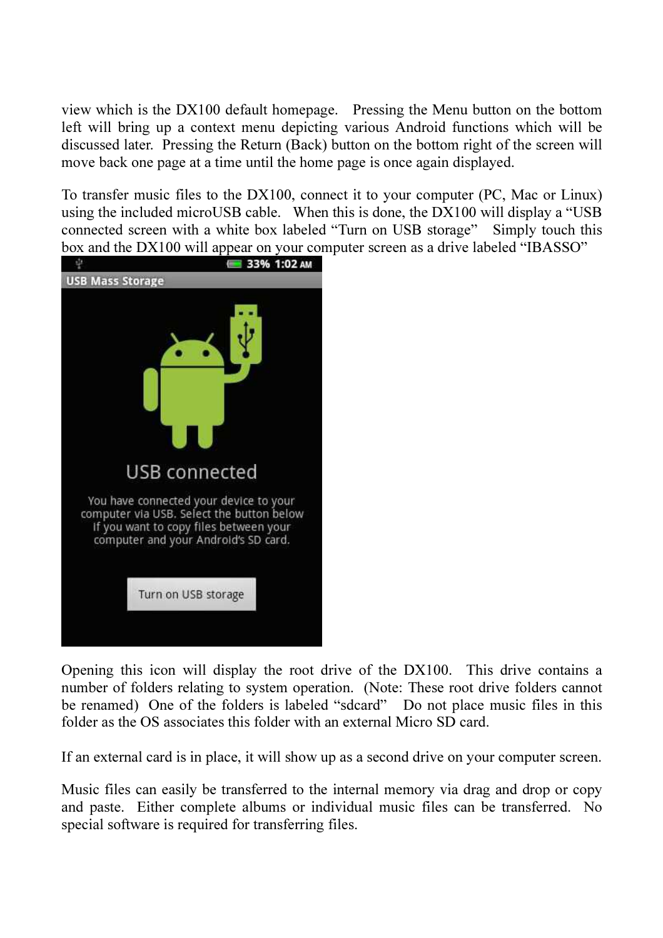view which is the DX100 default homepage. Pressing the Menu button on the bottom left will bring up a context menu depicting various Android functions which will be discussed later. Pressing the Return (Back) button on the bottom right of the screen will move back one page at a time until the home page is once again displayed.

To transfer music files to the DX100, connect it to your computer (PC, Mac or Linux) using the included microUSB cable. When this is done, the DX100 will display a "USB connected screen with a white box labeled "Turn on USB storage" Simply touch this box and the DX100 will appear on your computer screen as a drive labeled "IBASSO"



Opening this icon will display the root drive of the DX100. This drive contains a number of folders relating to system operation. (Note: These root drive folders cannot be renamed) One of the folders is labeled "sdcard" Do not place music files in this folder as the OS associates this folder with an external Micro SD card.

If an external card is in place, it will show up as a second drive on your computer screen.

Music files can easily be transferred to the internal memory via drag and drop or copy and paste. Either complete albums or individual music files can be transferred. No special software is required for transferring files.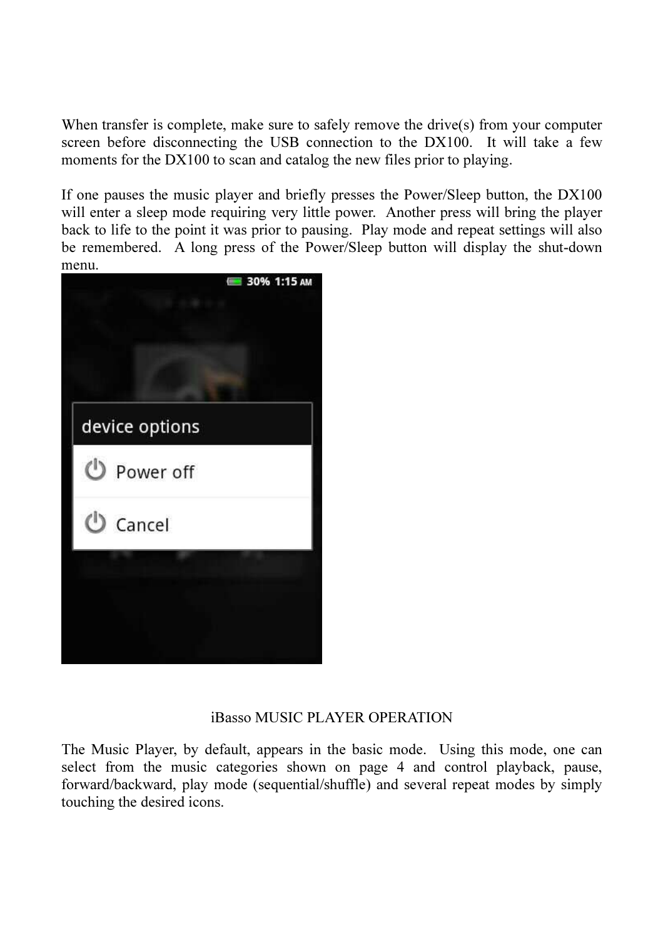When transfer is complete, make sure to safely remove the drive(s) from your computer screen before disconnecting the USB connection to the DX100. It will take a few moments for the DX100 to scan and catalog the new files prior to playing.

If one pauses the music player and briefly presses the Power/Sleep button, the DX100 will enter a sleep mode requiring very little power. Another press will bring the player back to life to the point it was prior to pausing. Play mode and repeat settings will also be remembered. A long press of the Power/Sleep button will display the shut-down menu.



#### iBasso MUSIC PLAYER OPERATION

The Music Player, by default, appears in the basic mode. Using this mode, one can select from the music categories shown on page 4 and control playback, pause, forward/backward, play mode (sequential/shuffle) and several repeat modes by simply touching the desired icons.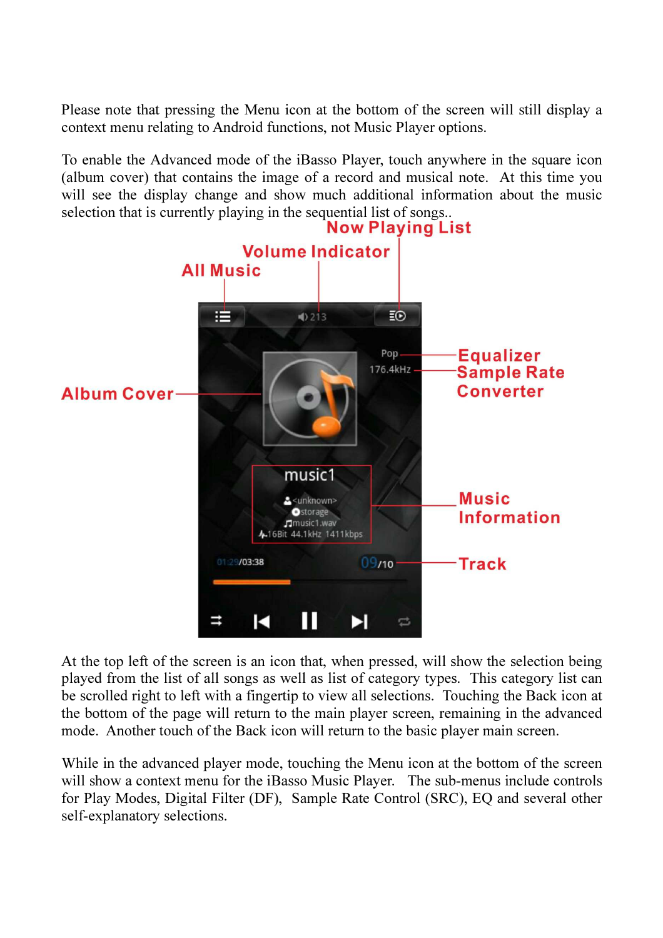Please note that pressing the Menu icon at the bottom of the screen will still display a context menu relating to Android functions, not Music Player options.

To enable the Advanced mode of the iBasso Player, touch anywhere in the square icon (album cover) that contains the image of a record and musical note. At this time you will see the display change and show much additional information about the music selection that is currently playing in the sequential list of songs..<br>Now Playing List



At the top left of the screen is an icon that, when pressed, will show the selection being played from the list of all songs as well as list of category types. This category list can be scrolled right to left with a fingertip to view all selections. Touching the Back icon at the bottom of the page will return to the main player screen, remaining in the advanced mode. Another touch of the Back icon will return to the basic player main screen.

While in the advanced player mode, touching the Menu icon at the bottom of the screen will show a context menu for the iBasso Music Player. The sub-menus include controls for Play Modes, Digital Filter (DF), Sample Rate Control (SRC), EQ and several other self-explanatory selections.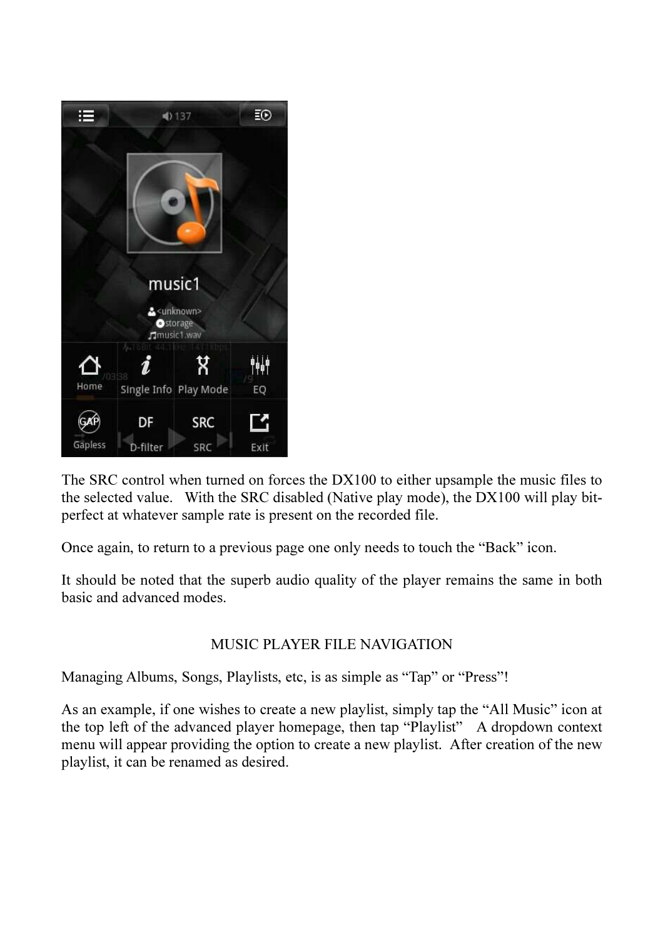

The SRC control when turned on forces the DX100 to either upsample the music files to the selected value. With the SRC disabled (Native play mode), the DX100 will play bitperfect at whatever sample rate is present on the recorded file.

Once again, to return to a previous page one only needs to touch the "Back" icon.

It should be noted that the superb audio quality of the player remains the same in both basic and advanced modes.

#### MUSIC PLAYER FILE NAVIGATION

Managing Albums, Songs, Playlists, etc, is as simple as "Tap" or "Press"!

As an example, if one wishes to create a new playlist, simply tap the "All Music" icon at the top left of the advanced player homepage, then tap "Playlist" A dropdown context menu will appear providing the option to create a new playlist. After creation of the new playlist, it can be renamed as desired.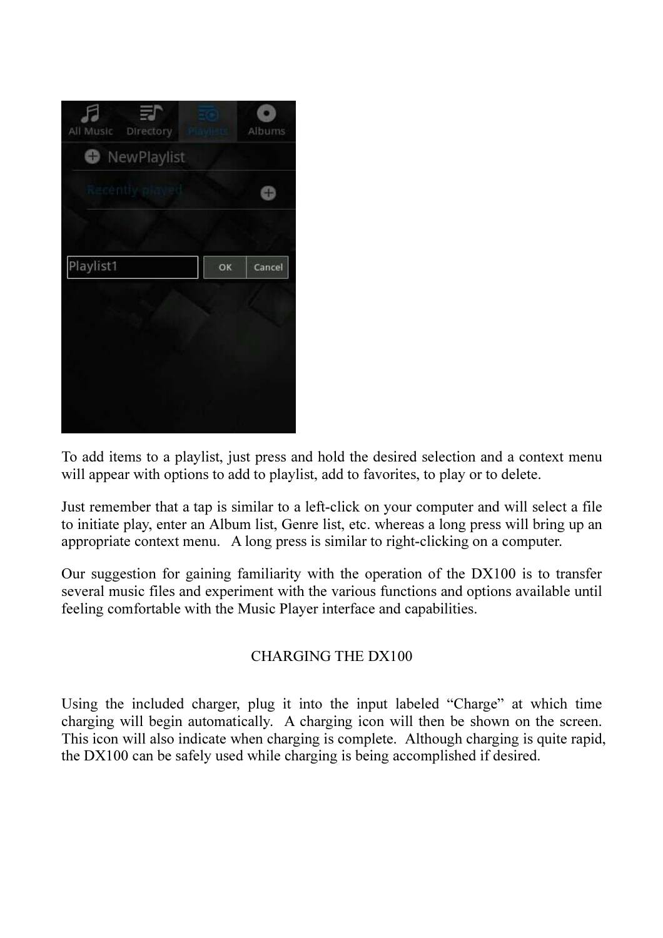| All Music<br>Directory |    | Albums |
|------------------------|----|--------|
| NewPlaylist<br>o       |    |        |
| Recently played        |    |        |
|                        |    |        |
| Playlist1              | OK | Cancel |
|                        |    |        |
|                        |    |        |
|                        |    |        |
|                        |    |        |

To add items to a playlist, just press and hold the desired selection and a context menu will appear with options to add to playlist, add to favorites, to play or to delete.

Just remember that a tap is similar to a left-click on your computer and will select a file to initiate play, enter an Album list, Genre list, etc. whereas a long press will bring up an appropriate context menu. A long press is similar to right-clicking on a computer.

Our suggestion for gaining familiarity with the operation of the DX100 is to transfer several music files and experiment with the various functions and options available until feeling comfortable with the Music Player interface and capabilities.

## CHARGING THE DX100

Using the included charger, plug it into the input labeled "Charge" at which time charging will begin automatically. A charging icon will then be shown on the screen. This icon will also indicate when charging is complete. Although charging is quite rapid, the DX100 can be safely used while charging is being accomplished if desired.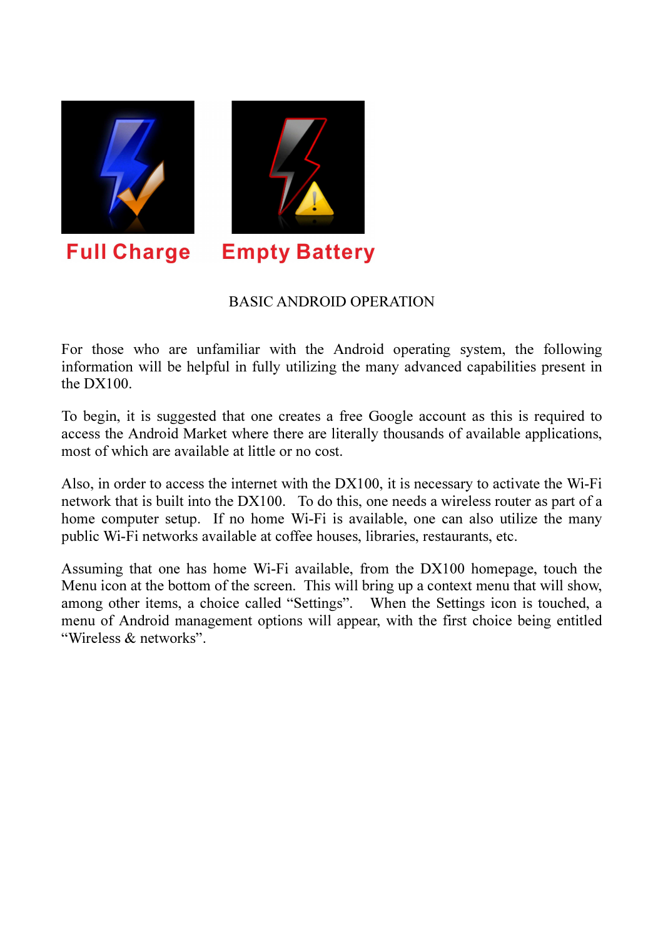

#### BASIC ANDROID OPERATION

For those who are unfamiliar with the Android operating system, the following information will be helpful in fully utilizing the many advanced capabilities present in the DX100.

To begin, it is suggested that one creates a free Google account as this is required to access the Android Market where there are literally thousands of available applications, most of which are available at little or no cost.

Also, in order to access the internet with the DX100, it is necessary to activate the Wi-Fi network that is built into the DX100. To do this, one needs a wireless router as part of a home computer setup. If no home Wi-Fi is available, one can also utilize the many public Wi-Fi networks available at coffee houses, libraries, restaurants, etc.

Assuming that one has home Wi-Fi available, from the DX100 homepage, touch the Menu icon at the bottom of the screen. This will bring up a context menu that will show, among other items, a choice called "Settings". When the Settings icon is touched, a menu of Android management options will appear, with the first choice being entitled "Wireless & networks".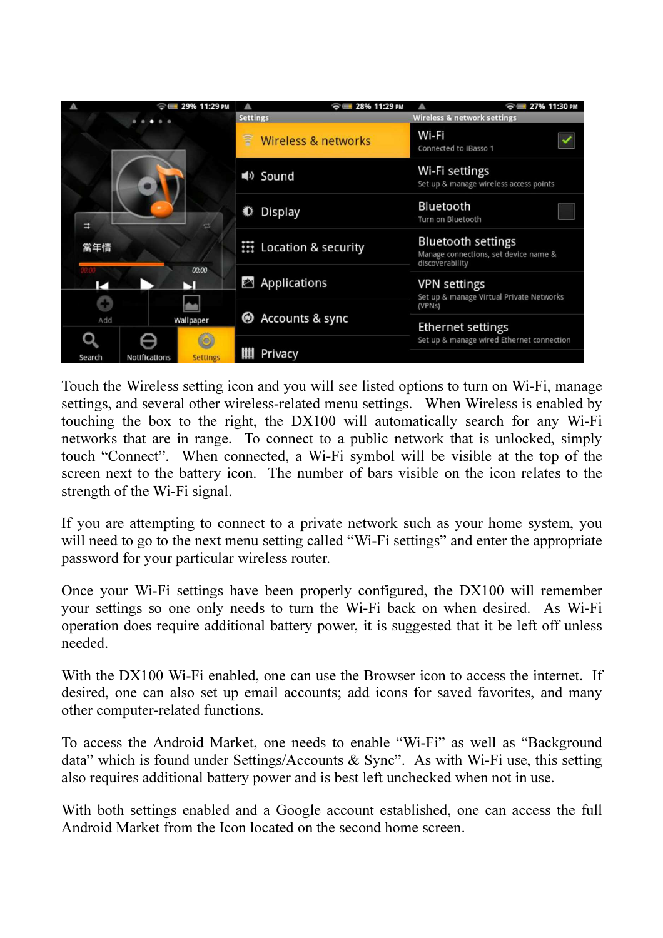

Touch the Wireless setting icon and you will see listed options to turn on Wi-Fi, manage settings, and several other wireless-related menu settings. When Wireless is enabled by touching the box to the right, the DX100 will automatically search for any Wi-Fi networks that are in range. To connect to a public network that is unlocked, simply touch "Connect". When connected, a Wi-Fi symbol will be visible at the top of the screen next to the battery icon. The number of bars visible on the icon relates to the strength of the Wi-Fi signal.

If you are attempting to connect to a private network such as your home system, you will need to go to the next menu setting called "Wi-Fi settings" and enter the appropriate password for your particular wireless router.

Once your Wi-Fi settings have been properly configured, the DX100 will remember your settings so one only needs to turn the Wi-Fi back on when desired. As Wi-Fi operation does require additional battery power, it is suggested that it be left off unless needed.

With the DX100 Wi-Fi enabled, one can use the Browser icon to access the internet. If desired, one can also set up email accounts; add icons for saved favorites, and many other computer-related functions.

To access the Android Market, one needs to enable "Wi-Fi" as well as "Background data" which is found under Settings/Accounts & Sync". As with Wi-Fi use, this setting also requires additional battery power and is best left unchecked when not in use.

With both settings enabled and a Google account established, one can access the full Android Market from the Icon located on the second home screen.